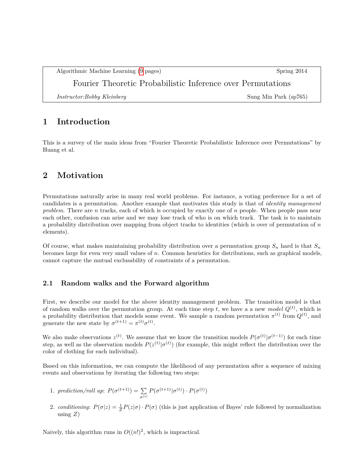Algorithmic Machine Learning [\(9](#page-8-0) pages) Spring 2014

Fourier Theoretic Probabilistic Inference over Permutations

*Instructor:Bobby Kleinberg* Sung Min Park (sp765)

## **1 Introduction**

This is a survey of the main ideas from "Fourier Theoretic Probabilistic Inference over Permutations" by Huang et al.

## **2 Motivation**

Permutations naturally arise in many real world problems. For instance, a voting preference for a set of candidates is a permutation. Another example that motivates this study is that of *identity management problem*. There are *n* tracks, each of which is occupied by exactly one of *n* people. When people pass near each other, confusion can arise and we may lose track of who is on which track. The task is to maintain a probability distribution over mapping from object tracks to identities (which is over of permutation of *n* elements).

Of course, what makes maintaining probability distribution over a permutation group  $S_n$  hard is that  $S_n$ becomes large for even very small values of *n*. Common heuristics for distributions, such as graphical models, cannot capture the mutual exclusability of constraints of a permutation.

### **2.1 Random walks and the Forward algorithm**

First, we describe our model for the above identity management problem. The transition model is that of random walks over the permutation group. At each time step  $t$ , we have a a new *model*  $Q^{(t)}$ , which is a probability distribution that models some event. We sample a random permutation  $\pi^{(t)}$  from  $Q^{(t)}$ , and generate the new state by  $\sigma^{(t+1)} = \pi^{(t)} \sigma^{(t)}$ .

We also make observations  $z^{(t)}$ . We assume that we know the transition models  $P(\sigma^{(t)} | \sigma^{(t-1)})$  for each time step, as well as the observation models  $P(z^{(t)} | \sigma^{(t)})$  (for example, this might reflect the distribution over the color of clothing for each individual).

Based on this information, we can compute the likelihood of any permutation after a sequence of mixing events and observations by iterating the following two steps:

- 1. *prediction/roll up*:  $P(\sigma^{(t+1)}) = \sum$ *σ*(*t*)  $P(\sigma^{(t+1)} | \sigma^{(t)}) \cdot P(\sigma^{(t)})$
- 2. *conditioning*:  $P(\sigma | z) = \frac{1}{Z} P(z | \sigma) \cdot P(\sigma)$  (this is just application of Bayes' rule followed by normalization using  $Z$ )

Naively, this algorithm runs in  $O((n!)^2$ , which is impractical.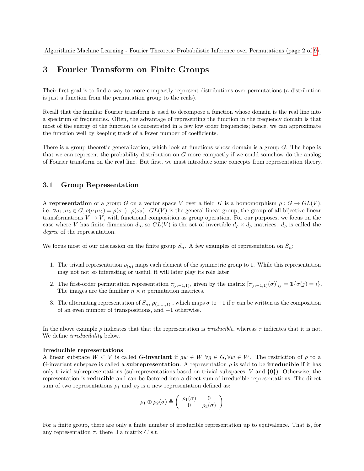## **3 Fourier Transform on Finite Groups**

Their first goal is to find a way to more compactly represent distributions over permutations (a distribution is just a function from the permutation group to the reals).

Recall that the familiar Fourier transform is used to decompose a function whose domain is the real line into a spectrum of frequencies. Often, the advantage of representing the function in the frequency domain is that most of the energy of the function is concentrated in a few low order frequencies; hence, we can approximate the function well by keeping track of a fewer number of coefficients.

There is a group theoretic generalization, which look at functions whose domain is a group *G*. The hope is that we can represent the probability distribution on *G* more compactly if we could somehow do the analog of Fourier transform on the real line. But first, we must introduce some concepts from representation theory.

### **3.1 Group Representation**

A **representation** of a group *G* on a vector space *V* over a field *K* is a homomorphism  $\rho: G \to GL(V)$ , i.e.  $\forall \sigma_1, \sigma_2 \in G, \rho(\sigma_1 \sigma_2) = \rho(\sigma_1) \cdot \rho(\sigma_2)$ .  $GL(V)$  is the general linear group, the group of all bijective linear transformations  $V \to V$ , with functional composition as group operation. For our purposes, we focus on the case where *V* has finite dimension  $d_{\rho}$ , so  $GL(V)$  is the set of invertible  $d_{\rho} \times d_{\rho}$  matrices.  $d_{\rho}$  is called the *degree* of the representation.

We focus most of our discussion on the finite group  $S_n$ . A few examples of representation on  $S_n$ :

- 1. The trivial representation  $\rho_{(n)}$  maps each element of the symmetric group to 1. While this representation may not not so interesting or useful, it will later play its role later.
- 2. The first-order permutation representation  $\tau_{(n-1,1)}$ , given by the matrix  $[\tau_{(n-1,1)}(\sigma)]_{ij} = \mathbb{1}\{\sigma(j) = i\}.$ The images are the familiar  $n \times n$  permutation matrices.
- 3. The alternating representation of  $S_n$ ,  $\rho_{(1,...,1)}$ , which maps  $\sigma$  to  $+1$  if  $\sigma$  can be written as the composition of an even number of transpositions, and −1 otherwise.

In the above example  $\rho$  indicates that that the representation is *irreducible*, whereas  $\tau$  indicates that it is not. We define *irreducibility* below.

#### **Irreducible representations**

A linear subspace  $W \subset V$  is called *G***-invariant** if  $gw \in W \ \forall g \in G, \forall w \in W$ . The restriction of  $\rho$  to a *G*-invariant subspace is called a **subrepresentation**. A representation  $\rho$  is said to be **irreducible** if it has only trivial subrepresentations (subrepresentations based on trivial subspaces, *V* and {0}). Otherwise, the representation is **reducible** and can be factored into a direct sum of irreducible representations. The direct sum of two representations  $\rho_1$  and  $\rho_2$  is a new representation defined as:

$$
\rho_1 \oplus \rho_2(\sigma) \triangleq \left( \begin{array}{cc} \rho_1(\sigma) & 0 \\ 0 & \rho_2(\sigma) \end{array} \right)
$$

For a finite group, there are only a finite number of irreducible representation up to equivalence. That is, for any representation  $\tau$ , there  $\exists$  a matrix *C* s.t.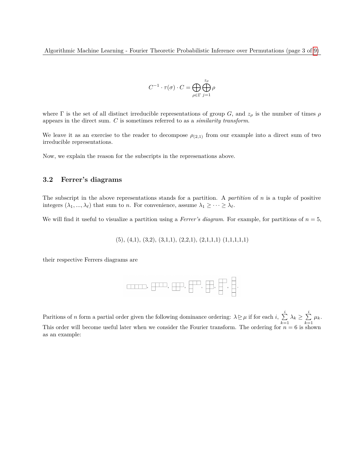$$
C^{-1}\cdot \tau(\sigma)\cdot C=\bigoplus_{\rho\in \Gamma}\bigoplus_{j=1}^{z_\rho}\rho
$$

where  $\Gamma$  is the set of all distinct irreducible representations of group *G*, and  $z_\rho$  is the number of times  $\rho$ appears in the direct sum. *C* is sometimes referred to as a *similarity transform*.

We leave it as an exercise to the reader to decompose  $\rho_{(2,1)}$  from our example into a direct sum of two irreducible representations.

Now, we explain the reason for the subscripts in the represenations above.

### **3.2 Ferrer's diagrams**

The subscript in the above representations stands for a partition. A *partition* of *n* is a tuple of positive integers  $(\lambda_1, ..., \lambda_\ell)$  that sum to *n*. For convenience, assume  $\lambda_1 \geq ... \geq \lambda_\ell$ .

We will find it useful to visualize a partition using a *Ferrer's diagram*. For example, for partitions of *n* = 5,

$$
(5), (4,1), (3,2), (3,1,1), (2,2,1), (2,1,1,1) (1,1,1,1,1)
$$

their respective Ferrers diagrams are



Paritions of *n* form a partial order given the following dominance ordering:  $\lambda \geq \mu$  if for each *i*,  $\sum_{i=1}^{i}$  $\sum_{k=1}^i \lambda_k \geq \sum_{k=1}^i$  $\sum_{k=1}$   $\mu_k$ . This order will become useful later when we consider the Fourier transform. The ordering for  $n = 6$  is shown as an example: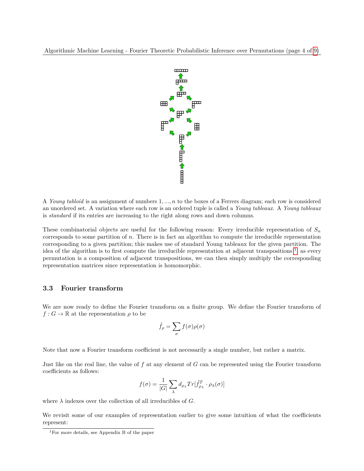Algorithmic Machine Learning - Fourier Theoretic Probabilistic Inference over Permutations (page 4 of [9\)](#page-8-0)



A *Young tabloid* is an assignment of numbers 1*, ..., n* to the boxes of a Ferrers diagram; each row is considered an unordered set. A variation where each row is an ordered tuple is called a *Young tableaux*. A *Young tableaux* is *standard* if its entries are increasing to the right along rows and down columns.

These combinatorial objects are useful for the following reason: Every irreducible representation of  $S_n$ corresponds to some partition of *n*. There is in fact an algorithm to compute the irreducible representation corresponding to a given partition; this makes use of standard Young tableaux for the given partition. The idea of the algorithm is to first compute the irreducible representation at adjacent transpositions  $\frac{1}{1}$  $\frac{1}{1}$  $\frac{1}{1}$ ; as every permutation is a composition of adjacent transpositions, we can then simply multiply the corresponding representation matrices since representation is homomorphic.

#### **3.3 Fourier transform**

We are now ready to define the Fourier transform on a finite group. We define the Fourier transform of  $f: G \to \mathbb{R}$  at the representation  $\rho$  to be

$$
\hat{f}_{\rho} = \sum_{\sigma} f(\sigma) \rho(\sigma)
$$

Note that now a Fourier transform coefficient is not necessarily a single number, but rather a matrix.

Just like on the real line, the value of *f* at any element of *G* can be represented using the Fourier transform coefficients as follows:

$$
f(\sigma) = \frac{1}{|G|} \sum_{\lambda} d_{\rho_{\lambda}} Tr[\hat{f}_{\rho_{\lambda}}^T \cdot \rho_{\lambda}(\sigma)]
$$

where  $\lambda$  indexes over the collection of all irreducibles of  $G$ .

We revisit some of our examples of representation earlier to give some intuition of what the coefficients represent:

<span id="page-3-0"></span><sup>1</sup>For more details, see Appendix B of the paper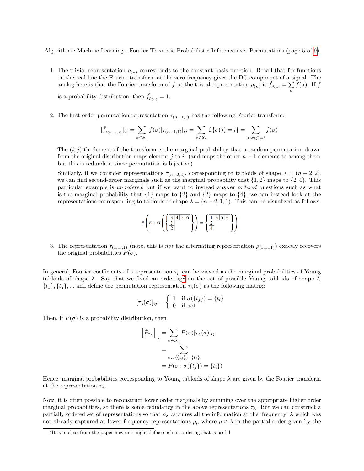1. The trivial representation  $\rho_{(n)}$  corresponds to the constant basis function. Recall that for functions on the real line the Fourier transform at the zero frequency gives the DC component of a signal. The analog here is that the Fourier transform of *f* at the trivial representation  $\rho_{(n)}$  is  $\hat{f}_{\rho_{(n)}} = \sum$  $\sum_{\sigma} f(\sigma)$ . If *f* 

is a probability distribution, then  $\hat{f}_{\rho(n)} = 1$ .

2. The first-order permutation representation  $\tau_{(n-1,1)}$  has the following Fourier transform:

$$
[\hat{f}_{\tau_{(n-1,1)}}]_{ij} = \sum_{\sigma \in S_n} f(\sigma) [\tau_{(n-1,1)}]_{ij} = \sum_{\sigma \in S_n} \mathbb{1} \{ \sigma(j) = i \} = \sum_{\sigma : \sigma(j) = i} f(\sigma)
$$

The (*i, j*)-th element of the transform is the marginal probability that a random permutation drawn from the original distribution maps element *j* to *i*. (and maps the other  $n-1$  elements to among them, but this is redundant since permutation is bijective)

Similarly, if we consider representations  $\tau_{(n-2,2)}$ , corresponding to tabloids of shape  $\lambda = (n-2,2)$ , we can find second-order marginals such as the marginal probability that  $\{1, 2\}$  maps to  $\{2, 4\}$ . This particular example is *unordered*, but if we want to instead answer *ordered* questions such as what is the marginal probability that  $\{1\}$  maps to  $\{2\}$  and  $\{2\}$  maps to  $\{4\}$ , we can instead look at the representations corresponding to tabloids of shape  $\lambda = (n-2,1,1)$ . This can be visualized as follows:

$$
P\left(\sigma : \sigma\left(\left\{\frac{3|4|5|6|}{\frac{1}{2}}\right\}\right) = \left\{\frac{1}{\frac{1}{2}|3|5|6|}{\frac{1}{4}}\right\}\right)
$$

3. The representation  $\tau_{(1,...,1)}$  (note, this is *not* the alternating representation  $\rho_{(1,...,1)}$ ) exactly recovers the original probabilities  $P(\sigma)$ .

In general, Fourier coefficients of a representation  $\tau_\mu$  can be viewed as the marginal probabilities of Young tabloids of shape  $\lambda$ . Say that we fixed an ordering<sup>[2](#page-4-0)</sup> on the set of possible Young tabloids of shape  $\lambda$ ,  $\{t_1\}, \{t_2\}, \ldots$  and define the permutation representation  $\tau_\lambda(\sigma)$  as the following matrix:

$$
[\tau_{\lambda}(\sigma)]_{ij} = \begin{cases} 1 & \text{if } \sigma(\{t_j\}) = \{t_i\} \\ 0 & \text{if not} \end{cases}
$$

Then, if  $P(\sigma)$  is a probability distribution, then

$$
\left[\hat{P}_{\tau_{\lambda}}\right]_{ij} = \sum_{\sigma \in S_n} P(\sigma) [\tau_{\lambda}(\sigma)]_{ij}
$$

$$
= \sum_{\sigma : \sigma(\{t_j\}) = \{t_i\}} \sigma : \sigma(\{t_j\}) = \{t_i\})
$$

Hence, marginal probabilities corresponding to Young tabloids of shape  $\lambda$  are given by the Fourier transform at the representation *τλ*.

Now, it is often possible to reconstruct lower order marginals by summing over the appropriate higher order marginal probabilities, so there is some redudancy in the above representations  $\tau_{\lambda}$ . But we can construct a partially ordered set of representations so that  $\rho_{\lambda}$  captures all the information at the 'frequency'  $\lambda$  which was not already captured at lower frequency representations  $\rho_{\mu}$  where  $\mu \geq \lambda$  in the partial order given by the

<span id="page-4-0"></span><sup>&</sup>lt;sup>2</sup>It is unclear from the paper how one might define such an ordering that is useful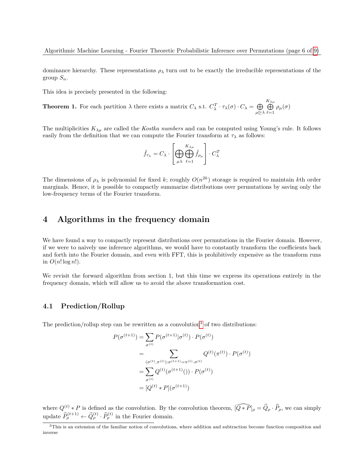dominance hierarchy. These representations *ρ<sup>λ</sup>* turn out to be exactly the irreducible representations of the group  $S_n$ .

This idea is precisely presented in the following:

**Theorem 1.** For each partition  $\lambda$  there exists a matrix  $C_{\lambda}$  s.t.  $C_{\lambda}^T \cdot \tau_{\lambda}(\sigma) \cdot C_{\lambda} = \bigoplus$ *µ*D*λ K*<sub>λμ</sub><br>
<del>Π</del>  $\bigoplus_{\ell=1}$   $\rho_{\mu}(\sigma)$ 

The multiplicities  $K_{\lambda\mu}$  are called the *Kostka numbers* and can be computed using Young's rule. It follows easily from the definition that we can compute the Fourier transform at  $\tau_{\lambda}$  as follows:

$$
\hat{f}_{\tau_{\lambda}} = C_{\lambda} \cdot \left[ \bigoplus_{\mu \lambda} \bigoplus_{\ell=1}^{K_{\lambda \mu}} \hat{f}_{\rho_{\mu}} \right] \cdot C_{\lambda}^{T}
$$

The dimensions of  $\rho_{\lambda}$  is polynomial for fixed *k*; roughly  $O(n^{2k})$  storage is required to maintain *k*th order marginals. Hence, it is possible to compactly summarize distributions over permutations by saving only the low-frequency terms of the Fourier transform.

### **4 Algorithms in the frequency domain**

We have found a way to compactly represent distributions over permutations in the Fourier domain. However, if we were to naively use inference algorithms, we would have to constantly transform the coefficients back and forth into the Fourier domain, and even with FFT, this is prohibitively expensive as the transform runs in  $O(n! \log n!)$ .

We revisit the forward algorithm from section 1, but this time we express its operations entirely in the frequency domain, which will allow us to avoid the above transformation cost.

### **4.1 Prediction/Rollup**

The prediction/rollup step can be rewritten as a convolution<sup>[3](#page-5-0)</sup> of two distributions:

$$
P(\sigma^{(t+1)}) = \sum_{\sigma^{(t)}} P(\sigma^{(t+1)} | \sigma^{(t)}) \cdot P(\sigma^{(t)})
$$
  
= 
$$
\sum_{(\sigma^{(t)}, \pi^{(t)}) : \sigma^{(t+1)} = \pi^{(t)} \cdot \sigma^{(t)}} Q^{(t)}(\pi^{(t)}) \cdot P(\sigma^{(t)})
$$
  
= 
$$
\sum_{\sigma^{(t)}} Q^{(t)}(\sigma^{(t+1)})) \cdot P(\sigma^{(t)})
$$
  
= 
$$
[Q^{(t)} * P](\sigma^{(t+1)})
$$

where  $Q^{(t)} * P$  is defined as the convolution. By the convolution theorem,  $\widehat{[Q*P]}\rho = \widehat{Q}_{\rho} \cdot \widehat{P}_{\rho}$ , we can simply update  $\widehat{P}_{\rho}^{(t+1)} \leftarrow \widehat{Q}_{\rho}^{(t)} \cdot \widehat{P}_{\rho}^{(t)}$  in the Fourier domain.

<span id="page-5-0"></span><sup>3</sup>This is an extension of the familiar notion of convolutions, where addition and subtraction become function composition and inverse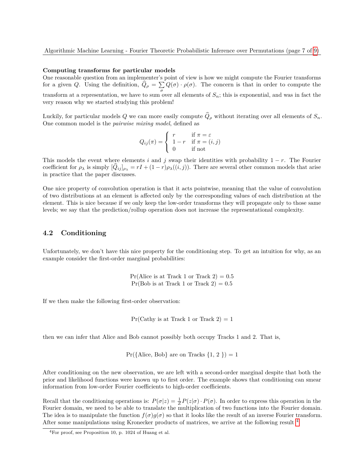#### **Computing transforms for particular models**

One reasonable question from an implementer's point of view is how we might compute the Fourier transforms for a given *Q*. Using the definition,  $Q_{\rho} = \sum_{\sigma} Q(\sigma) \cdot \rho(\sigma)$ . The concern is that in order to compute the transform at a representation, we have to sum over all elements of  $S_n$ ; this is exponential, and was in fact the very reason why we started studying this problem!

Luckily, for particular models Q we can more easily compute  $\hat{Q}_{\rho}$  without iterating over all elements of  $S_n$ . One common model is the *pairwise mixing model*, defined as

$$
Q_{ij}(\pi) = \begin{cases} r & \text{if } \pi = \varepsilon \\ 1 - r & \text{if } \pi = (i, j) \\ 0 & \text{if not} \end{cases}
$$

This models the event where elements *i* and *j* swap their identities with probability  $1 - r$ . The Fourier coefficient for  $\rho_{\lambda}$  is simply  $[Q_{ij}]_{\rho_{\lambda}} = rI + (1 - r)\rho_{\lambda}((i, j))$ . There are several other common models that arise in practice that the paper discusses.

One nice property of convolution operation is that it acts pointwise, meaning that the value of convolution of two distributions at an element is affected only by the corresponding values of each distribution at the element. This is nice because if we only keep the low-order transforms they will propagate only to those same levels; we say that the prediction/rollup operation does not increase the representational complexity.

### **4.2 Conditioning**

Unfortunately, we don't have this nice property for the conditioning step. To get an intuition for why, as an example consider the first-order marginal probabilities:

> $Pr(Alice is at Track 1 or Track 2) = 0.5$  $Pr(Bob is at Track 1 or Track 2) = 0.5$

If we then make the following first-order observation:

 $Pr(Cathy is at Track 1 or Track 2) = 1$ 

then we can infer that Alice and Bob cannot possibly both occupy Tracks 1 and 2. That is,

 $Pr({\text{Alice}, \text{Bob}} \text{ are on \text{Tracks } \{1, 2\}}) = 1$ 

After conditioning on the new observation, we are left with a second-order marginal despite that both the prior and likelihood functions were known up to first order. The example shows that conditioning can smear information from low-order Fourier coefficients to high-order coefficients.

Recall that the conditioning operations is:  $P(\sigma | z) = \frac{1}{Z} P(z | \sigma) \cdot P(\sigma)$ . In order to express this operation in the Fourier domain, we need to be able to translate the multiplication of two functions into the Fourier domain. The idea is to manipulate the function  $f(\sigma)g(\sigma)$  so that it looks like the result of an inverse Fourier transform. After some manipulations using Kronecker products of matrices, we arrive at the following result  $4$ 

<span id="page-6-0"></span> ${}^{4}$ For proof, see Proposition 10, p. 1024 of Huang et al.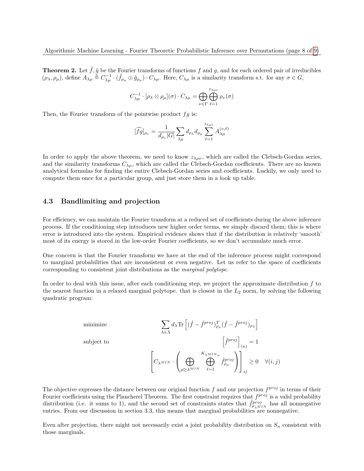**Theorem 2.** Let  $\hat{f}$ ,  $\hat{g}$  be the Fourier transforms of functions  $f$  and  $g$ , and for each ordered pair of irreducibles  $(\rho_{\lambda}, \rho_{\mu}),$  define  $A_{\lambda\mu} \stackrel{\simeq}{=} C_{\lambda\mu}^{-1} \cdot (\hat{f}_{\rho_{\mu}} \oplus \hat{g}_{\rho_{\mu}}) \cdot C_{\lambda\mu}.$  Here,  $C_{\lambda\mu}$  is a similarity transform s.t. for any  $\sigma \in G$ ,

$$
C_{\lambda\mu}^{-1}\cdot[\rho_{\lambda}\otimes\rho_{\mu}](\sigma)\cdot C_{\lambda\mu}=\bigoplus_{\nu\in\Gamma}\bigoplus_{\ell=1}^{z_{\lambda\mu\nu}}\rho_{\nu}(\sigma)
$$

Then, the Fourier transform of the pointwise product *fg* is:

$$
[\widehat{fg}]_{\rho_{\nu}} = \frac{1}{d_{\rho_{\nu}}|G|} \sum_{\lambda\mu} d_{\rho_{\lambda}} d_{\rho_{\mu}} \sum_{\ell=1}^{z_{\lambda\mu\nu}} A_{\lambda\mu}^{(v,\ell)}
$$

In order to apply the above theorem, we need to know  $z_{\lambda\mu\nu}$ , which are called the Clebsch-Gordan series, and the similarity transforms  $C_{\lambda\mu}$ , which are called the Clebsch-Gordan coefficients. There are no known analytical formulas for finding the entire Clebsch-Gordan series and coefficients. Luckily, we only need to compute them once for a particular group, and just store them in a look up table.

### **4.3 Bandlimiting and projection**

For efficiency, we can maintain the Fourier transform at a reduced set of coefficients during the above inference process. If the conditioning step introduces new higher order terms, we simply discard them; this is where error is introduced into the system. Empirical evidence shows that if the distribution is relatively 'smooth' most of its energy is stored in the low-order Fourier coefficients, so we don't accumulate much error.

One concern is that the Fourier transform we have at the end of the inference process might correspond to marginal probabilities that are inconsistent or even negative. Let us refer to the space of coefficients corresponding to consistent joint distributions as the *marginal polytope*.

In order to deal with this issue, after each conditioning step, we project the approximate distribution *f* to the nearest function in a relaxed marginal polytope. that is closest in the *L*<sup>2</sup> norm, by solving the following quadratic program:

$$
\begin{aligned} &\text{minimize} &&& \sum_{\lambda \in \Lambda} d_{\lambda} \text{Tr}\left[ (\hat{f} - \hat{f}^{proj})^T_{\rho_{\lambda}} (\hat{f} - \hat{f}^{proj})_{\rho_{\lambda}} \right] \\ &\text{subject to} &&&\left[ \hat{f}^{proj} \right]_{(n)} = 1 \\ &&&\left[ C_{\lambda^{MIN}} \cdot \left( \bigoplus_{\mu \unrhd \lambda^{MIN}} \bigoplus_{\ell=1}^{K_{\lambda^{MIN}}}\hat{f}^{proj}_{\rho_{\mu}} \right) \right]_{ij} \geq 0 \quad \forall (i,j) \end{aligned}
$$

The objective expresses the distance between our original function f and our projection  $f^{proj}$  in terms of their Fourier coefficients using the Plancherel Theorem. The first constraint requires that  $f^{proj}$  is a valid probability distribution (i.e. it sums to 1), and the second set of constraints states that  $\hat{f}^{proj}_{\rho_{\lambda}^{MIN}}$  has all nonnegative entries. From our discussion in section 3.3, this means that marginal probabilities are nonnegative.

Even after projection, there might not necessarily exist a joint probability distribution on  $S_n$  consistent with those marginals.